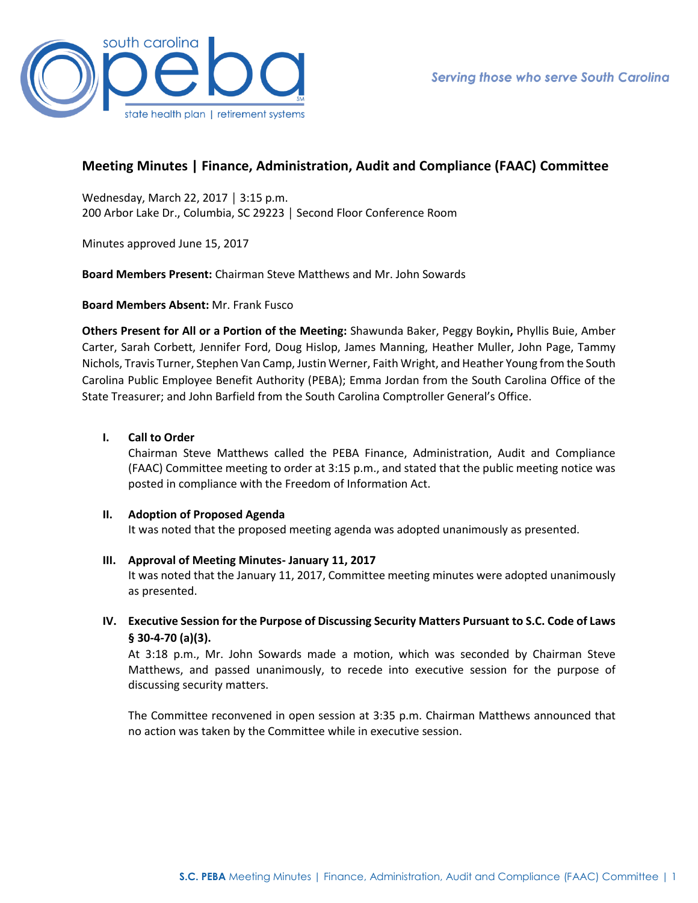

# **Meeting Minutes | Finance, Administration, Audit and Compliance (FAAC) Committee**

Wednesday, March 22, 2017 │ 3:15 p.m. 200 Arbor Lake Dr., Columbia, SC 29223 │ Second Floor Conference Room

Minutes approved June 15, 2017

**Board Members Present:** Chairman Steve Matthews and Mr. John Sowards

**Board Members Absent:** Mr. Frank Fusco

**Others Present for All or a Portion of the Meeting:** Shawunda Baker, Peggy Boykin**,** Phyllis Buie, Amber Carter, Sarah Corbett, Jennifer Ford, Doug Hislop, James Manning, Heather Muller, John Page, Tammy Nichols, Travis Turner, Stephen Van Camp, Justin Werner, Faith Wright, and Heather Young from the South Carolina Public Employee Benefit Authority (PEBA); Emma Jordan from the South Carolina Office of the State Treasurer; and John Barfield from the South Carolina Comptroller General's Office.

# **I. Call to Order**

Chairman Steve Matthews called the PEBA Finance, Administration, Audit and Compliance (FAAC) Committee meeting to order at 3:15 p.m., and stated that the public meeting notice was posted in compliance with the Freedom of Information Act.

# **II. Adoption of Proposed Agenda**

It was noted that the proposed meeting agenda was adopted unanimously as presented.

# **III. Approval of Meeting Minutes- January 11, 2017**

It was noted that the January 11, 2017, Committee meeting minutes were adopted unanimously as presented.

**IV. Executive Session for the Purpose of Discussing Security Matters Pursuant to S.C. Code of Laws § 30-4-70 (a)(3).** 

At 3:18 p.m., Mr. John Sowards made a motion, which was seconded by Chairman Steve Matthews, and passed unanimously, to recede into executive session for the purpose of discussing security matters.

The Committee reconvened in open session at 3:35 p.m. Chairman Matthews announced that no action was taken by the Committee while in executive session.